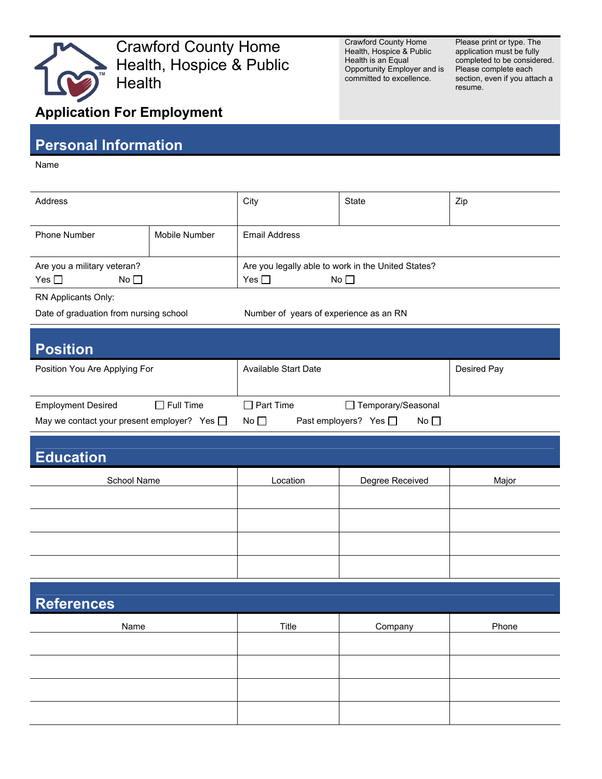

Crawford County Home Health, Hospice & Public **Health** 

Crawford County Home Health, Hospice & Public Health is an Equal Opportunity Employer and is committed to excellence.

Please print or type. The application must be fully completed to be considered. Please complete each section, even if you attach a resume.

## **Application For Employment**

## **Personal Information**

Name

| Address                                                |               | City                                                                                | State | Zip |
|--------------------------------------------------------|---------------|-------------------------------------------------------------------------------------|-------|-----|
| <b>Phone Number</b>                                    | Mobile Number | Email Address                                                                       |       |     |
| Are you a military veteran?<br>Yes $\Box$<br>$No \Box$ |               | Are you legally able to work in the United States?<br>No <sub>l</sub><br>Yes $\Box$ |       |     |

RN Applicants Only:

Date of graduation from nursing school Number of years of experience as an RN

| <b>Position</b>                                  |                                                               |             |  |  |  |  |  |
|--------------------------------------------------|---------------------------------------------------------------|-------------|--|--|--|--|--|
| Position You Are Applying For                    | Available Start Date                                          | Desired Pay |  |  |  |  |  |
| $\Box$ Full Time<br><b>Employment Desired</b>    | $\Box$ Part Time<br>□ Temporary/Seasonal                      |             |  |  |  |  |  |
| May we contact your present employer? Yes $\Box$ | No <sub>1</sub><br>Yes $\Box$<br>Past employers?<br>$No \Box$ |             |  |  |  |  |  |

## **Education** School Name **Location Location** Degree Received Major

| <b>References</b> |       |         |       |  |  |  |
|-------------------|-------|---------|-------|--|--|--|
| Name              | Title | Company | Phone |  |  |  |
|                   |       |         |       |  |  |  |
|                   |       |         |       |  |  |  |
|                   |       |         |       |  |  |  |
|                   |       |         |       |  |  |  |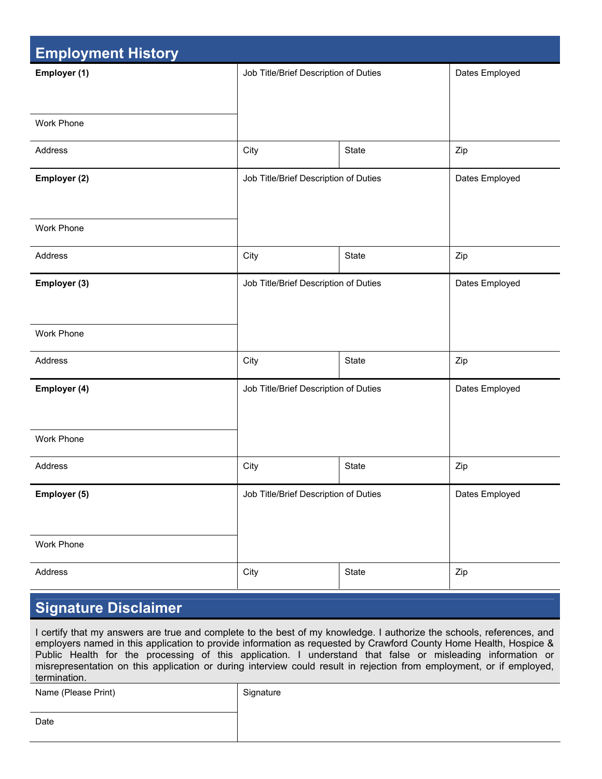| <b>Employment History</b> |                                       |              |                |  |  |
|---------------------------|---------------------------------------|--------------|----------------|--|--|
| Employer (1)              | Job Title/Brief Description of Duties |              | Dates Employed |  |  |
| <b>Work Phone</b>         |                                       |              |                |  |  |
| Address                   | City                                  | <b>State</b> | Zip            |  |  |
| Employer (2)              | Job Title/Brief Description of Duties |              | Dates Employed |  |  |
| Work Phone                |                                       |              |                |  |  |
| Address                   | City                                  | State        | Zip            |  |  |
| Employer (3)              | Job Title/Brief Description of Duties |              | Dates Employed |  |  |
| <b>Work Phone</b>         |                                       |              |                |  |  |
| Address                   | City                                  | State        | Zip            |  |  |
| Employer (4)              | Job Title/Brief Description of Duties |              | Dates Employed |  |  |
| Work Phone                |                                       |              |                |  |  |
| Address                   | City                                  | State        | Zip            |  |  |
| Employer (5)              | Job Title/Brief Description of Duties |              | Dates Employed |  |  |
| Work Phone                |                                       |              |                |  |  |
| Address                   | City                                  | State        | Zip            |  |  |

## **Signature Disclaimer**

I certify that my answers are true and complete to the best of my knowledge. I authorize the schools, references, and employers named in this application to provide information as requested by Crawford County Home Health, Hospice & Public Health for the processing of this application. I understand that false or misleading information or misrepresentation on this application or during interview could result in rejection from employment, or if employed, termination.

Name (Please Print) Signature

Date